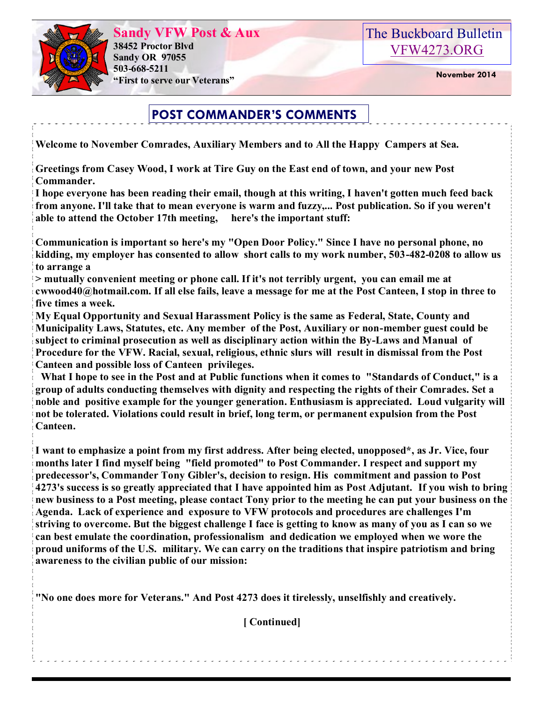

**Sandy VFW Post & Aux 38452 Proctor Blvd Sandy OR 97055 503-668-5211 "First to serve our Veterans" November 2014** 



# **POST COMMANDER'S COMMENTS**

**Welcome to November Comrades, Auxiliary Members and to All the Happy Campers at Sea.**

**Greetings from Casey Wood, I work at Tire Guy on the East end of town, and your new Post Commander.**

**I hope everyone has been reading their email, though at this writing, I haven't gotten much feed back from anyone. I'll take that to mean everyone is warm and fuzzy,... Post publication. So if you weren't able to attend the October 17th meeting, here's the important stuff:**

**Communication is important so here's my "Open Door Policy." Since I have no personal phone, no kidding, my employer has consented to allow short calls to my work number, 503-482-0208 to allow us to arrange a** 

**> mutually convenient meeting or phone call. If it's not terribly urgent, you can email me at cwwood40@hotmail.com. If all else fails, leave a message for me at the Post Canteen, I stop in three to five times a week.**

**My Equal Opportunity and Sexual Harassment Policy is the same as Federal, State, County and Municipality Laws, Statutes, etc. Any member of the Post, Auxiliary or non-member guest could be subject to criminal prosecution as well as disciplinary action within the By-Laws and Manual of Procedure for the VFW. Racial, sexual, religious, ethnic slurs will result in dismissal from the Post Canteen and possible loss of Canteen privileges.**

 **What I hope to see in the Post and at Public functions when it comes to "Standards of Conduct," is a group of adults conducting themselves with dignity and respecting the rights of their Comrades. Set a noble and positive example for the younger generation. Enthusiasm is appreciated. Loud vulgarity will not be tolerated. Violations could result in brief, long term, or permanent expulsion from the Post Canteen.**

**I want to emphasize a point from my first address. After being elected, unopposed\*, as Jr. Vice, four months later I find myself being "field promoted" to Post Commander. I respect and support my predecessor's, Commander Tony Gibler's, decision to resign. His commitment and passion to Post 4273's success is so greatly appreciated that I have appointed him as Post Adjutant. If you wish to bring new business to a Post meeting, please contact Tony prior to the meeting he can put your business on the Agenda. Lack of experience and exposure to VFW protocols and procedures are challenges I'm striving to overcome. But the biggest challenge I face is getting to know as many of you as I can so we can best emulate the coordination, professionalism and dedication we employed when we wore the proud uniforms of the U.S. military. We can carry on the traditions that inspire patriotism and bring awareness to the civilian public of our mission:**

**"No one does more for Veterans." And Post 4273 does it tirelessly, unselfishly and creatively.**

**[ Continued]**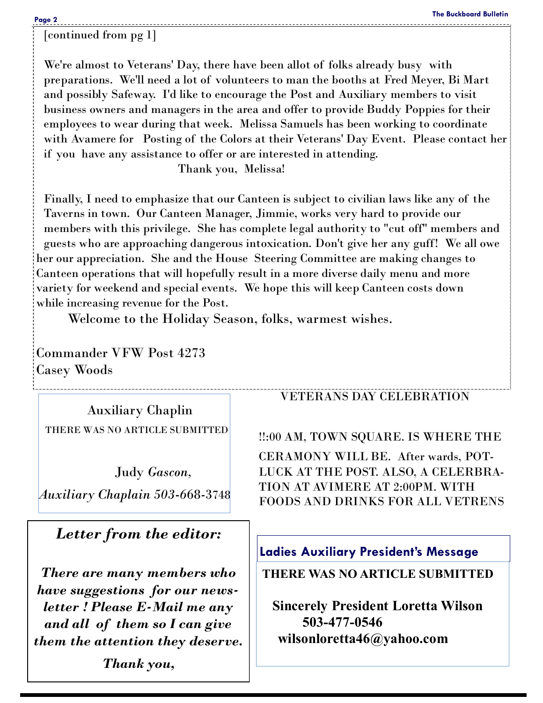[continued from pg 1]

We're almost to Veterans' Day, there have been allot of folks already busy with preparations. We'll need a lot of volunteers to man the booths at Fred Meyer, Bi Mart and possibly Safeway. I'd like to encourage the Post and Auxiliary members to visit business owners and managers in the area and offer to provide Buddy Poppies for their employees to wear during that week. Melissa Samuels has been working to coordinate with Avamere for Posting of the Colors at their Veterans' Day Event. Please contact her if you have any assistance to offer or are interested in attending.

Thank you, Melissa!

Finally, I need to emphasize that our Canteen is subject to civilian laws like any of the Taverns in town. Our Canteen Manager, Jimmie, works very hard to provide our members with this privilege. She has complete legal authority to "cut off" members and guests who are approaching dangerous intoxication. Don't give her any guff! We all owe her our appreciation. She and the House Steering Committee are making changes to Canteen operations that will hopefully result in a more diverse daily menu and more variety for weekend and special events. We hope this will keep Canteen costs down while increasing revenue for the Post.

Welcome to the Holiday Season, folks, warmest wishes.

Commander VFW Post 4273 Casey Woods

 Auxiliary Chaplin THERE WAS NO ARTICLE SUBMITTED

 Judy *Gascon, Auxiliary Chaplain 503-6*68-3748

## *Letter from the editor:*

*There are many members who have suggestions for our newsletter ! Please E-Mail me any and all of them so I can give them the attention they deserve. Thank you,* 

#### VETERANS DAY CELEBRATION

!!:00 AM, TOWN SQUARE. IS WHERE THE

CERAMONY WILL BE. After wards, POT-LUCK AT THE POST. ALSO, A CELERBRA-TION AT AVIMERE AT 2:00PM. WITH FOODS AND DRINKS FOR ALL VETRENS

### **Ladies Auxiliary President's Message**

**THERE WAS NO ARTICLE SUBMITTED**

**Sincerely President Loretta Wilson 503-477-0546 wilsonloretta46@yahoo.com**

 $\mathbb{R}$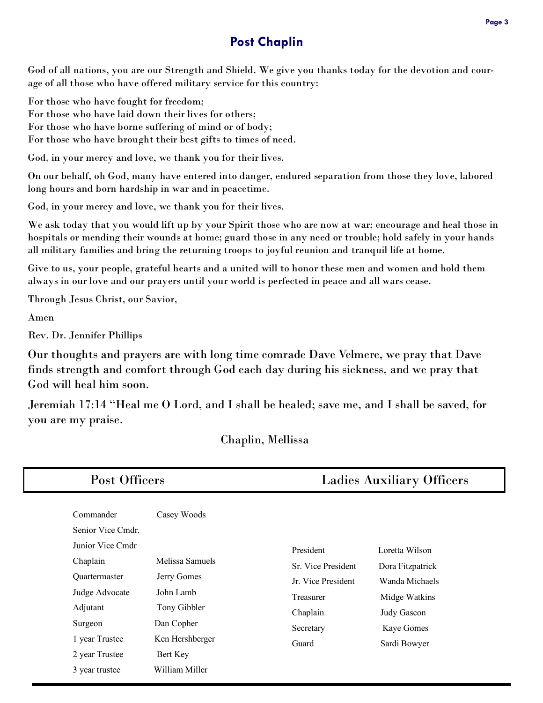### **Post Chaplin**

God of all nations, you are our Strength and Shield. We give you thanks today for the devotion and courage of all those who have offered military service for this country:

For those who have fought for freedom;

For those who have laid down their lives for others;

For those who have borne suffering of mind or of body;

For those who have brought their best gifts to times of need.

God, in your mercy and love, we thank you for their lives.

On our behalf, oh God, many have entered into danger, endured separation from those they love, labored long hours and born hardship in war and in peacetime.

God, in your mercy and love, we thank you for their lives.

We ask today that you would lift up by your Spirit those who are now at war; encourage and heal those in hospitals or mending their wounds at home; guard those in any need or trouble; hold safely in your hands all military families and bring the returning troops to joyful reunion and tranquil life at home.

Give to us, your people, grateful hearts and a united will to honor these men and women and hold them always in our love and our prayers until your world is perfected in peace and all wars cease.

Through Jesus Christ, our Savior,

Amen

Rev. Dr. Jennifer Phillips

Our thoughts and prayers are with long time comrade Dave Velmere, we pray that Dave finds strength and comfort through God each day during his sickness, and we pray that God will heal him soon.

Jeremiah 17:14 "Heal me O Lord, and I shall be healed; save me, and I shall be saved, for you are my praise.

Chaplin, Mellissa

| Post Officers                                                                                                                              |                                                                                                             | <b>Ladies Auxiliary Officers</b>                                                                     |                                                                                                                    |
|--------------------------------------------------------------------------------------------------------------------------------------------|-------------------------------------------------------------------------------------------------------------|------------------------------------------------------------------------------------------------------|--------------------------------------------------------------------------------------------------------------------|
| Commander<br>Senior Vice Cmdr.<br>Junior Vice Cmdr<br>Chaplain<br>Quartermaster<br>Judge Advocate<br>Adjutant<br>Surgeon<br>1 year Trustee | Casey Woods<br>Melissa Samuels<br>Jerry Gomes<br>John Lamb<br>Tony Gibbler<br>Dan Copher<br>Ken Hershberger | President<br>Sr. Vice President<br>Jr. Vice President<br>Treasurer<br>Chaplain<br>Secretary<br>Guard | Loretta Wilson<br>Dora Fitzpatrick<br>Wanda Michaels<br>Midge Watkins<br>Judy Gascon<br>Kaye Gomes<br>Sardi Bowyer |
| 2 year Trustee<br>3 year trustee                                                                                                           | Bert Key<br>William Miller                                                                                  |                                                                                                      |                                                                                                                    |